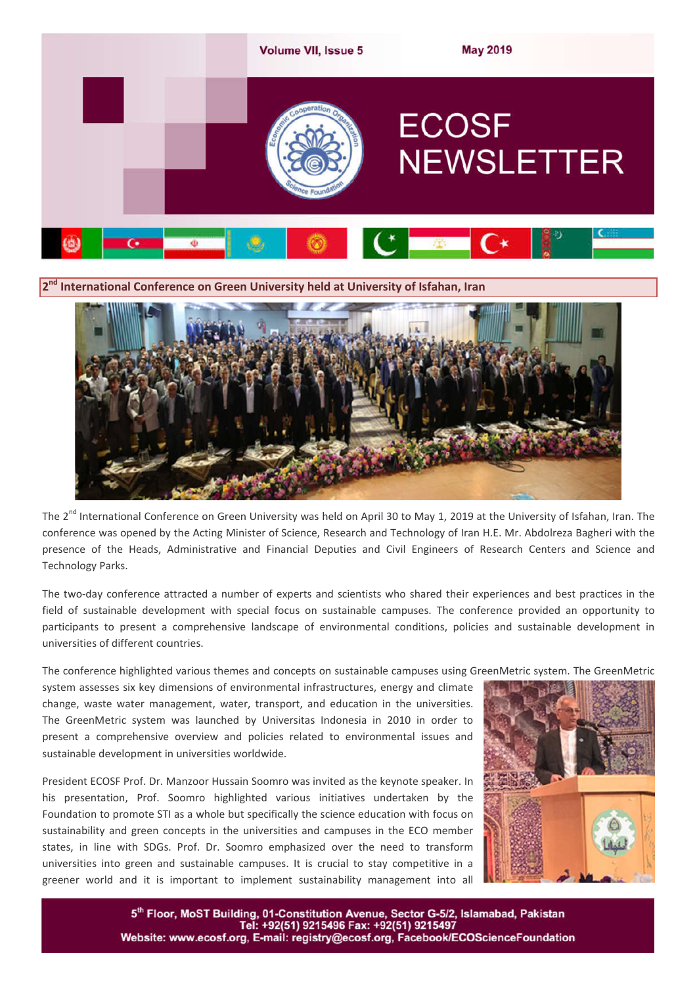

**2nd International Conference on Green University held at University of Isfahan, Iran**



The 2<sup>nd</sup> International Conference on Green University was held on April 30 to May 1, 2019 at the University of Isfahan, Iran. The conference was opened by the Acting Minister of Science, Research and Technology of Iran H.E. Mr. Abdolreza Bagheri with the presence of the Heads, Administrative and Financial Deputies and Civil Engineers of Research Centers and Science and Technology Parks.

The two-day conference attracted a number of experts and scientists who shared their experiences and best practices in the field of sustainable development with special focus on sustainable campuses. The conference provided an opportunity to participants to present a comprehensive landscape of environmental conditions, policies and sustainable development in universities of different countries.

The conference highlighted various themes and concepts on sustainable campuses using GreenMetric system. The GreenMetric

system assesses six key dimensions of environmental infrastructures, energy and climate change, waste water management, water, transport, and education in the universities. The GreenMetric system was launched by Universitas Indonesia in 2010 in order to present a comprehensive overview and policies related to environmental issues and sustainable development in universities worldwide.

President ECOSF Prof. Dr. Manzoor Hussain Soomro was invited as the keynote speaker. In his presentation, Prof. Soomro highlighted various initiatives undertaken by the Foundation to promote STI as a whole but specifically the science education with focus on sustainability and green concepts in the universities and campuses in the ECO member states, in line with SDGs. Prof. Dr. Soomro emphasized over the need to transform universities into green and sustainable campuses. It is crucial to stay competitive in a greener world and it is important to implement sustainability management into all



5th Floor, MoST Building, 01-Constitution Avenue, Sector G-5/2, Islamabad, Pakistan Tel: +92(51) 9215496 Fax: +92(51) 9215497 Website: www.ecosf.org, E-mail: registry@ecosf.org, Facebook/ECOScienceFoundation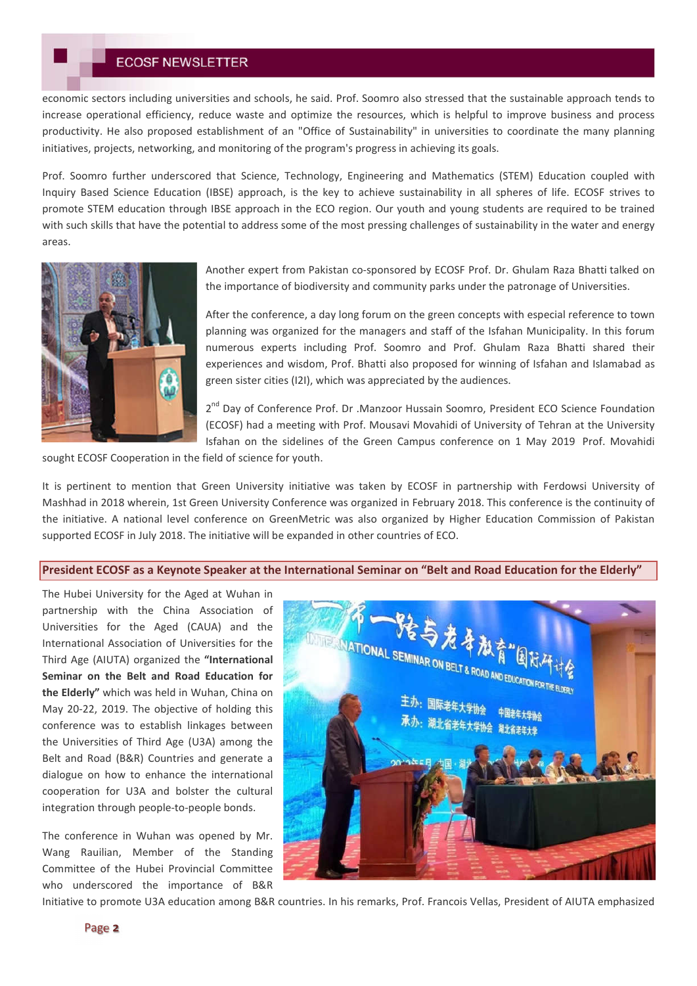economic sectors including universities and schools, he said. Prof. Soomro also stressed that the sustainable approach tends to increase operational efficiency, reduce waste and optimize the resources, which is helpful to improve business and process productivity. He also proposed establishment of an "Office of Sustainability" in universities to coordinate the many planning initiatives, projects, networking, and monitoring of the program's progress in achieving its goals.

Prof. Soomro further underscored that Science, Technology, Engineering and Mathematics (STEM) Education coupled with Inquiry Based Science Education (IBSE) approach, is the key to achieve sustainability in all spheres of life. ECOSF strives to promote STEM education through IBSE approach in the ECO region. Our youth and young students are required to be trained with such skills that have the potential to address some of the most pressing challenges of sustainability in the water and energy areas.



Another expert from Pakistan co-sponsored by ECOSF Prof. Dr. Ghulam Raza Bhatti talked on the importance of biodiversity and community parks under the patronage of Universities.

After the conference, a day long forum on the green concepts with especial reference to town planning was organized for the managers and staff of the Isfahan Municipality. In this forum numerous experts including Prof. Soomro and Prof. Ghulam Raza Bhatti shared their experiences and wisdom, Prof. Bhatti also proposed for winning of Isfahan and Islamabad as green sister cities (I2I), which was appreciated by the audiences.

2<sup>nd</sup> Day of Conference Prof. Dr .Manzoor Hussain Soomro, President ECO Science Foundation (ECOSF) had a meeting with Prof. Mousavi Movahidi of University of Tehran at the University Isfahan on the sidelines of the Green Campus conference on 1 May 2019 Prof. Movahidi

sought ECOSF Cooperation in the field of science for youth.

It is pertinent to mention that Green University initiative was taken by ECOSF in partnership with Ferdowsi University of Mashhad in 2018 wherein, 1st Green University Conference was organized in February 2018. This conference is the continuity of the initiative. A national level conference on GreenMetric was also organized by Higher Education Commission of Pakistan supported ECOSF in July 2018. The initiative will be expanded in other countries of ECO.

### **President ECOSF as a Keynote Speaker at the International Seminar on "Belt and Road Education for the Elderly"**

The Hubei University for the Aged at Wuhan in partnership with the China Association of Universities for the Aged (CAUA) and the International Association of Universities for the Third Age (AIUTA) organized the **"International Seminar on the Belt and Road Education for the Elderly"** which was held in Wuhan, China on May 20-22, 2019. The objective of holding this conference was to establish linkages between the Universities of Third Age (U3A) among the Belt and Road (B&R) Countries and generate a dialogue on how to enhance the international cooperation for U3A and bolster the cultural integration through people-to-people bonds.

The conference in Wuhan was opened by Mr. Wang Rauilian, Member of the Standing Committee of the Hubei Provincial Committee who underscored the importance of B&R



Initiative to promote U3A education among B&R countries. In his remarks, Prof. Francois Vellas, President of AIUTA emphasized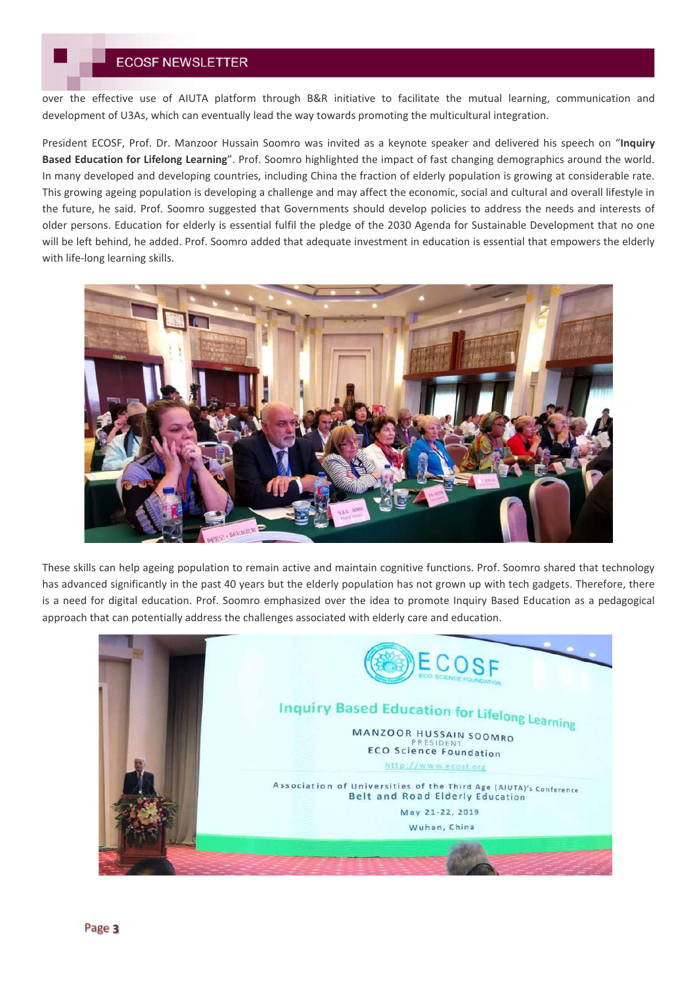over the effective use of AIUTA platform through B&R initiative to facilitate the mutual learning, communication and development of U3As, which can eventually lead the way towards promoting the multicultural integration.

President ECOSF, Prof. Dr. Manzoor Hussain Soomro was invited as a keynote speaker and delivered his speech on "**Inquiry Based Education for Lifelong Learning**". Prof. Soomro highlighted the impact of fast changing demographics around the world. In many developed and developing countries, including China the fraction of elderly population is growing at considerable rate. This growing ageing population is developing a challenge and may affect the economic, social and cultural and overall lifestyle in the future, he said. Prof. Soomro suggested that Governments should develop policies to address the needs and interests of older persons. Education for elderly is essential fulfil the pledge of the 2030 Agenda for Sustainable Development that no one will be left behind, he added. Prof. Soomro added that adequate investment in education is essential that empowers the elderly with life-long learning skills.



These skills can help ageing population to remain active and maintain cognitive functions. Prof. Soomro shared that technology has advanced significantly in the past 40 years but the elderly population has not grown up with tech gadgets. Therefore, there is a need for digital education. Prof. Soomro emphasized over the idea to promote Inquiry Based Education as a pedagogical approach that can potentially address the challenges associated with elderly care and education.

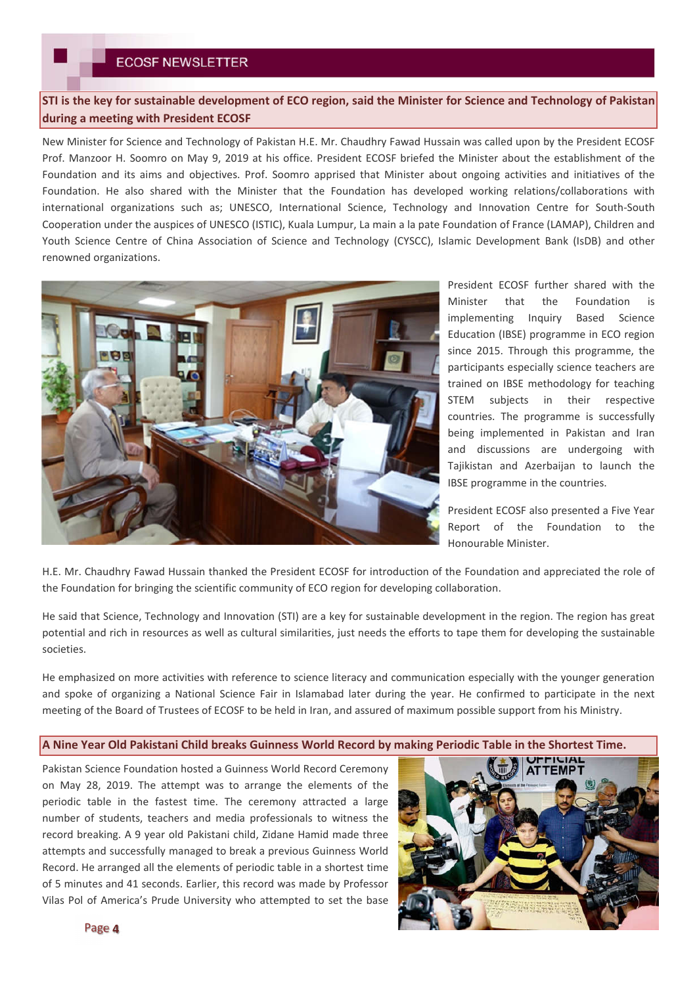**STI is the key for sustainable development of ECO region, said the Minister for Science and Technology of Pakistan during a meeting with President ECOSF**

New Minister for Science and Technology of Pakistan H.E. Mr. Chaudhry Fawad Hussain was called upon by the President ECOSF Prof. Manzoor H. Soomro on May 9, 2019 at his office. President ECOSF briefed the Minister about the establishment of the Foundation and its aims and objectives. Prof. Soomro apprised that Minister about ongoing activities and initiatives of the Foundation. He also shared with the Minister that the Foundation has developed working relations/collaborations with international organizations such as; UNESCO, International Science, Technology and Innovation Centre for South-South Cooperation under the auspices of UNESCO (ISTIC), Kuala Lumpur, La main a la pate Foundation of France (LAMAP), Children and Youth Science Centre of China Association of Science and Technology (CYSCC), Islamic Development Bank (IsDB) and other renowned organizations.



President ECOSF further shared with the Minister that the Foundation is implementing Inquiry Based Science Education (IBSE) programme in ECO region since 2015. Through this programme, the participants especially science teachers are trained on IBSE methodology for teaching STEM subjects in their respective countries. The programme is successfully being implemented in Pakistan and Iran and discussions are undergoing with Tajikistan and Azerbaijan to launch the IBSE programme in the countries.

President ECOSF also presented a Five Year Report of the Foundation to the Honourable Minister.

H.E. Mr. Chaudhry Fawad Hussain thanked the President ECOSF for introduction of the Foundation and appreciated the role of the Foundation for bringing the scientific community of ECO region for developing collaboration.

He said that Science, Technology and Innovation (STI) are a key for sustainable development in the region. The region has great potential and rich in resources as well as cultural similarities, just needs the efforts to tape them for developing the sustainable societies.

He emphasized on more activities with reference to science literacy and communication especially with the younger generation and spoke of organizing a National Science Fair in Islamabad later during the year. He confirmed to participate in the next meeting of the Board of Trustees of ECOSF to be held in Iran, and assured of maximum possible support from his Ministry.

#### **A Nine Year Old Pakistani Child breaks Guinness World Record by making Periodic Table in the Shortest Time.**

Pakistan Science Foundation hosted a Guinness World Record Ceremony on May 28, 2019. The attempt was to arrange the elements of the periodic table in the fastest time. The ceremony attracted a large number of students, teachers and media professionals to witness the record breaking. A 9 year old Pakistani child, Zidane Hamid made three attempts and successfully managed to break a previous Guinness World Record. He arranged all the elements of periodic table in a shortest time of 5 minutes and 41 seconds. Earlier, this record was made by Professor Vilas Pol of America's Prude University who attempted to set the base

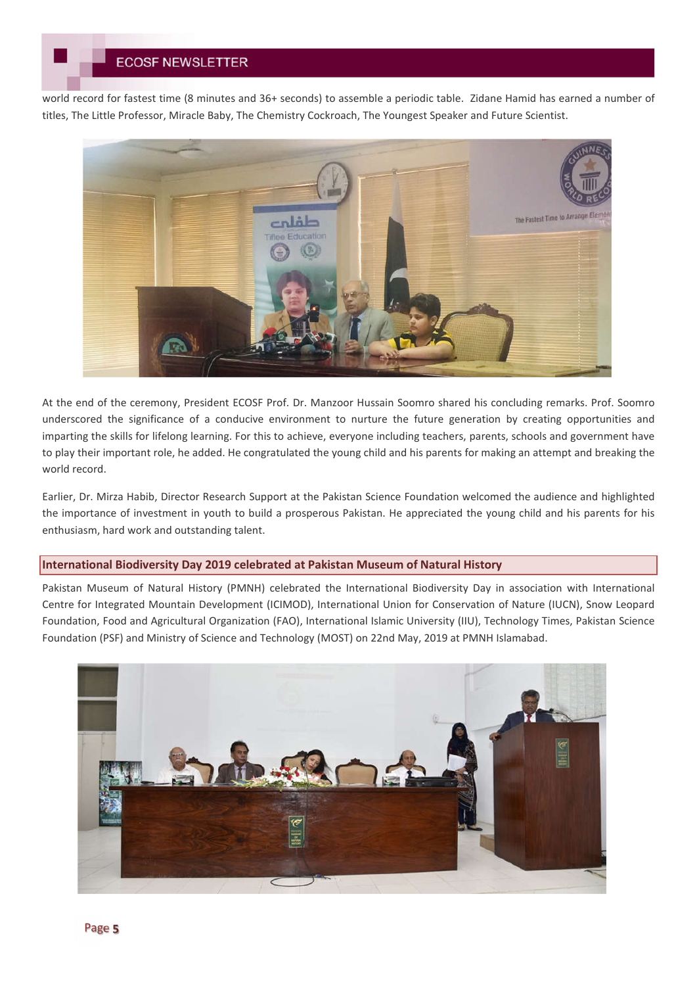world record for fastest time (8 minutes and 36+ seconds) to assemble a periodic table. Zidane Hamid has earned a number of titles, The Little Professor, Miracle Baby, The Chemistry Cockroach, The Youngest Speaker and Future Scientist.



At the end of the ceremony, President ECOSF Prof. Dr. Manzoor Hussain Soomro shared his concluding remarks. Prof. Soomro underscored the significance of a conducive environment to nurture the future generation by creating opportunities and imparting the skills for lifelong learning. For this to achieve, everyone including teachers, parents, schools and government have to play their important role, he added. He congratulated the young child and his parents for making an attempt and breaking the world record.

Earlier, Dr. Mirza Habib, Director Research Support at the Pakistan Science Foundation welcomed the audience and highlighted the importance of investment in youth to build a prosperous Pakistan. He appreciated the young child and his parents for his enthusiasm, hard work and outstanding talent.

### **International Biodiversity Day 2019 celebrated at Pakistan Museum of Natural History**

Pakistan Museum of Natural History (PMNH) celebrated the International Biodiversity Day in association with International Centre for Integrated Mountain Development (ICIMOD), International Union for Conservation of Nature (IUCN), Snow Leopard Foundation, Food and Agricultural Organization (FAO), International Islamic University (IIU), Technology Times, Pakistan Science Foundation (PSF) and Ministry of Science and Technology (MOST) on 22nd May, 2019 at PMNH Islamabad.

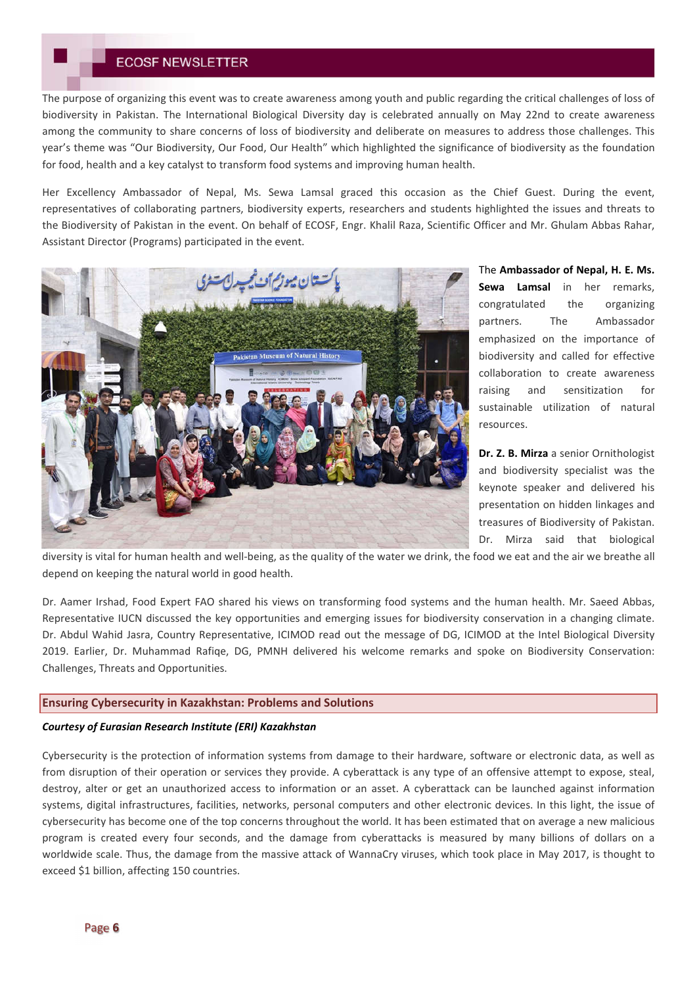The purpose of organizing this event was to create awareness among youth and public regarding the critical challenges of loss of biodiversity in Pakistan. The International Biological Diversity day is celebrated annually on May 22nd to create awareness among the community to share concerns of loss of biodiversity and deliberate on measures to address those challenges. This year's theme was "Our Biodiversity, Our Food, Our Health" which highlighted the significance of biodiversity as the foundation for food, health and a key catalyst to transform food systems and improving human health.

Her Excellency Ambassador of Nepal, Ms. Sewa Lamsal graced this occasion as the Chief Guest. During the event, representatives of collaborating partners, biodiversity experts, researchers and students highlighted the issues and threats to the Biodiversity of Pakistan in the event. On behalf of ECOSF, Engr. Khalil Raza, Scientific Officer and Mr. Ghulam Abbas Rahar, Assistant Director (Programs) participated in the event.



The **Ambassador of Nepal, H. E. Ms. Sewa Lamsal** in her remarks, congratulated the organizing partners. The Ambassador emphasized on the importance of biodiversity and called for effective collaboration to create awareness raising and sensitization for sustainable utilization of natural resources.

**Dr. Z. B. Mirza** a senior Ornithologist and biodiversity specialist was the keynote speaker and delivered his presentation on hidden linkages and treasures of Biodiversity of Pakistan. Dr. Mirza said that biological

diversity is vital for human health and well-being, as the quality of the water we drink, the food we eat and the air we breathe all depend on keeping the natural world in good health.

Dr. Aamer Irshad, Food Expert FAO shared his views on transforming food systems and the human health. Mr. Saeed Abbas, Representative IUCN discussed the key opportunities and emerging issues for biodiversity conservation in a changing climate. Dr. Abdul Wahid Jasra, Country Representative, ICIMOD read out the message of DG, ICIMOD at the Intel Biological Diversity 2019. Earlier, Dr. Muhammad Rafiqe, DG, PMNH delivered his welcome remarks and spoke on Biodiversity Conservation: Challenges, Threats and Opportunities.

### **Ensuring Cybersecurity in Kazakhstan: Problems and Solutions**

#### *Courtesy of Eurasian Research Institute (ERI) Kazakhstan*

Cybersecurity is the protection of information systems from damage to their hardware, software or electronic data, as well as from disruption of their operation or services they provide. A cyberattack is any type of an offensive attempt to expose, steal, destroy, alter or get an unauthorized access to information or an asset. A cyberattack can be launched against information systems, digital infrastructures, facilities, networks, personal computers and other electronic devices. In this light, the issue of cybersecurity has become one of the top concerns throughout the world. It has been estimated that on average a new malicious program is created every four seconds, and the damage from cyberattacks is measured by many billions of dollars on a worldwide scale. Thus, the damage from the massive attack of WannaCry viruses, which took place in May 2017, is thought to exceed \$1 billion, affecting 150 countries.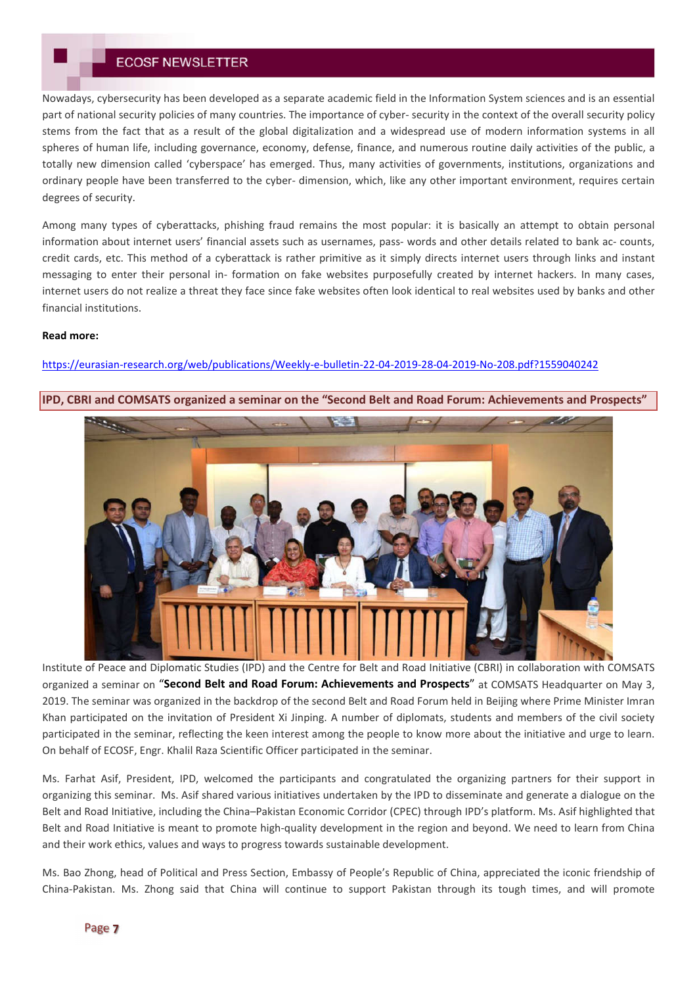Nowadays, cybersecurity has been developed as a separate academic field in the Information System sciences and is an essential part of national security policies of many countries. The importance of cyber- security in the context of the overall security policy stems from the fact that as a result of the global digitalization and a widespread use of modern information systems in all spheres of human life, including governance, economy, defense, finance, and numerous routine daily activities of the public, a totally new dimension called 'cyberspace' has emerged. Thus, many activities of governments, institutions, organizations and ordinary people have been transferred to the cyber- dimension, which, like any other important environment, requires certain degrees of security.

Among many types of cyberattacks, phishing fraud remains the most popular: it is basically an attempt to obtain personal information about internet users' financial assets such as usernames, pass- words and other details related to bank ac- counts, credit cards, etc. This method of a cyberattack is rather primitive as it simply directs internet users through links and instant messaging to enter their personal in- formation on fake websites purposefully created by internet hackers. In many cases, internet users do not realize a threat they face since fake websites often look identical to real websites used by banks and other financial institutions.

#### **Read more:**

### https://eurasian-research.org/web/publications/Weekly-e-bulletin-22-04-2019-28-04-2019-No-208.pdf?1559040242



**IPD, CBRI and COMSATS organized a seminar on the "Second Belt and Road Forum: Achievements and Prospects"** 

Institute of Peace and Diplomatic Studies (IPD) and the Centre for Belt and Road Initiative (CBRI) in collaboration with COMSATS organized a seminar on "**Second Belt and Road Forum: Achievements and Prospects**" at COMSATS Headquarter on May 3, 2019. The seminar was organized in the backdrop of the second Belt and Road Forum held in Beijing where Prime Minister Imran Khan participated on the invitation of President Xi Jinping. A number of diplomats, students and members of the civil society participated in the seminar, reflecting the keen interest among the people to know more about the initiative and urge to learn. On behalf of ECOSF, Engr. Khalil Raza Scientific Officer participated in the seminar.

Ms. Farhat Asif, President, IPD, welcomed the participants and congratulated the organizing partners for their support in organizing this seminar. Ms. Asif shared various initiatives undertaken by the IPD to disseminate and generate a dialogue on the Belt and Road Initiative, including the China–Pakistan Economic Corridor (CPEC) through IPD's platform. Ms. Asif highlighted that Belt and Road Initiative is meant to promote high-quality development in the region and beyond. We need to learn from China and their work ethics, values and ways to progress towards sustainable development.

Ms. Bao Zhong, head of Political and Press Section, Embassy of People's Republic of China, appreciated the iconic friendship of China-Pakistan. Ms. Zhong said that China will continue to support Pakistan through its tough times, and will promote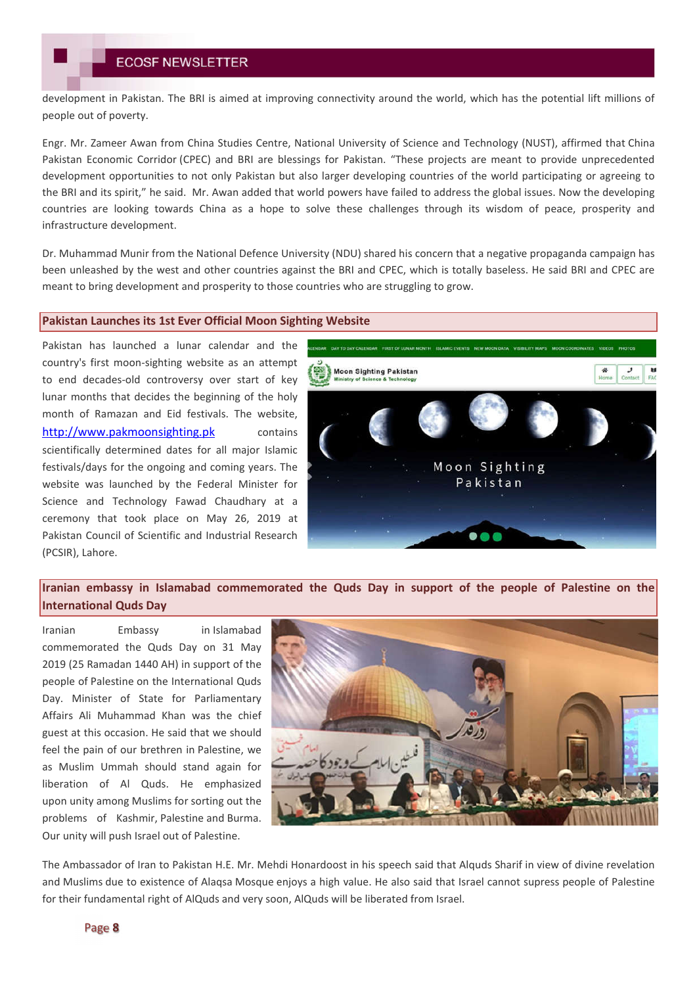development in Pakistan. The BRI is aimed at improving connectivity around the world, which has the potential lift millions of people out of poverty.

Engr. Mr. Zameer Awan from China Studies Centre, National University of Science and Technology (NUST), affirmed that China Pakistan Economic Corridor (CPEC) and BRI are blessings for Pakistan. "These projects are meant to provide unprecedented development opportunities to not only Pakistan but also larger developing countries of the world participating or agreeing to the BRI and its spirit," he said. Mr. Awan added that world powers have failed to address the global issues. Now the developing countries are looking towards China as a hope to solve these challenges through its wisdom of peace, prosperity and infrastructure development.

Dr. Muhammad Munir from the National Defence University (NDU) shared his concern that a negative propaganda campaign has been unleashed by the west and other countries against the BRI and CPEC, which is totally baseless. He said BRI and CPEC are meant to bring development and prosperity to those countries who are struggling to grow.

#### **Pakistan Launches its 1st Ever Official Moon Sighting Website**

Pakistan has launched a lunar calendar and the country's first moon-sighting website as an attempt to end decades-old controversy over start of key lunar months that decides the beginning of the holy month of Ramazan and Eid festivals. The website, http://www.pakmoonsighting.pk contains scientifically determined dates for all major Islamic festivals/days for the ongoing and coming years. The website was launched by the Federal Minister for Science and Technology Fawad Chaudhary at a ceremony that took place on May 26, 2019 at Pakistan Council of Scientific and Industrial Research (PCSIR), Lahore.



## **Iranian embassy in Islamabad commemorated the Quds Day in support of the people of Palestine on the International Quds Day**

Iranian Embassy in Islamabad commemorated the Quds Day on 31 May 2019 (25 Ramadan 1440 AH) in support of the people of Palestine on the International Quds Day. Minister of State for Parliamentary Affairs Ali Muhammad Khan was the chief guest at this occasion. He said that we should feel the pain of our brethren in Palestine, we as Muslim Ummah should stand again for liberation of Al Quds. He emphasized upon unity among Muslims for sorting out the problems of Kashmir, Palestine and Burma. Our unity will push Israel out of Palestine.



The Ambassador of Iran to Pakistan H.E. Mr. Mehdi Honardoost in his speech said that Alquds Sharif in view of divine revelation and Muslims due to existence of Alaqsa Mosque enjoys a high value. He also said that Israel cannot supress people of Palestine for their fundamental right of AlQuds and very soon, AlQuds will be liberated from Israel.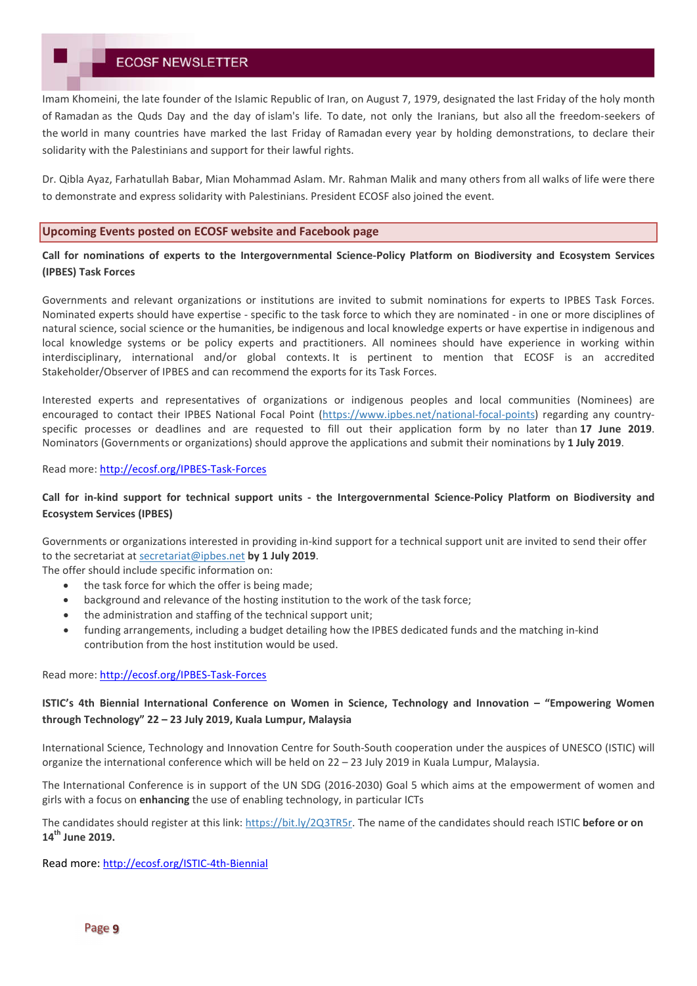Imam Khomeini, the late founder of the Islamic Republic of Iran, on August 7, 1979, designated the last Friday of the holy month of Ramadan as the Quds Day and the day of islam's life. To date, not only the Iranians, but also all the freedom-seekers of the world in many countries have marked the last Friday of Ramadan every year by holding demonstrations, to declare their solidarity with the Palestinians and support for their lawful rights.

Dr. Qibla Ayaz, Farhatullah Babar, Mian Mohammad Aslam. Mr. Rahman Malik and many others from all walks of life were there to demonstrate and express solidarity with Palestinians. President ECOSF also joined the event.

#### **Upcoming Events posted on ECOSF website and Facebook page**

### **Call for nominations of experts to the Intergovernmental Science-Policy Platform on Biodiversity and Ecosystem Services (IPBES) Task Forces**

Governments and relevant organizations or institutions are invited to submit nominations for experts to IPBES Task Forces. Nominated experts should have expertise - specific to the task force to which they are nominated - in one or more disciplines of natural science, social science or the humanities, be indigenous and local knowledge experts or have expertise in indigenous and local knowledge systems or be policy experts and practitioners. All nominees should have experience in working within interdisciplinary, international and/or global contexts. It is pertinent to mention that ECOSF is an accredited Stakeholder/Observer of IPBES and can recommend the exports for its Task Forces.

Interested experts and representatives of organizations or indigenous peoples and local communities (Nominees) are encouraged to contact their IPBES National Focal Point (https://www.ipbes.net/national-focal-points) regarding any countryspecific processes or deadlines and are requested to fill out their application form by no later than **17 June 2019**. Nominators (Governments or organizations) should approve the applications and submit their nominations by **1 July 2019**.

Read more: http://ecosf.org/IPBES-Task-Forces

## **Call for in-kind support for technical support units - the Intergovernmental Science-Policy Platform on Biodiversity and Ecosystem Services (IPBES)**

Governments or organizations interested in providing in-kind support for a technical support unit are invited to send their offer to the secretariat at secretariat@ipbes.net **by 1 July 2019**.

The offer should include specific information on:

- the task force for which the offer is being made;
- background and relevance of the hosting institution to the work of the task force;
- the administration and staffing of the technical support unit;
- funding arrangements, including a budget detailing how the IPBES dedicated funds and the matching in-kind contribution from the host institution would be used.

Read more: http://ecosf.org/IPBES-Task-Forces

### **ISTIC's 4th Biennial International Conference on Women in Science, Technology and Innovation – "Empowering Women through Technology" 22 – 23 July 2019, Kuala Lumpur, Malaysia**

International Science, Technology and Innovation Centre for South-South cooperation under the auspices of UNESCO (ISTIC) will organize the international conference which will be held on 22 – 23 July 2019 in Kuala Lumpur, Malaysia.

The International Conference is in support of the UN SDG (2016-2030) Goal 5 which aims at the empowerment of women and girls with a focus on **enhancing** the use of enabling technology, in particular ICTs

The candidates should register at this link: https://bit.ly/2Q3TR5r. The name of the candidates should reach ISTIC **before or on 14th June 2019.**

Read more: http://ecosf.org/ISTIC-4th-Biennial